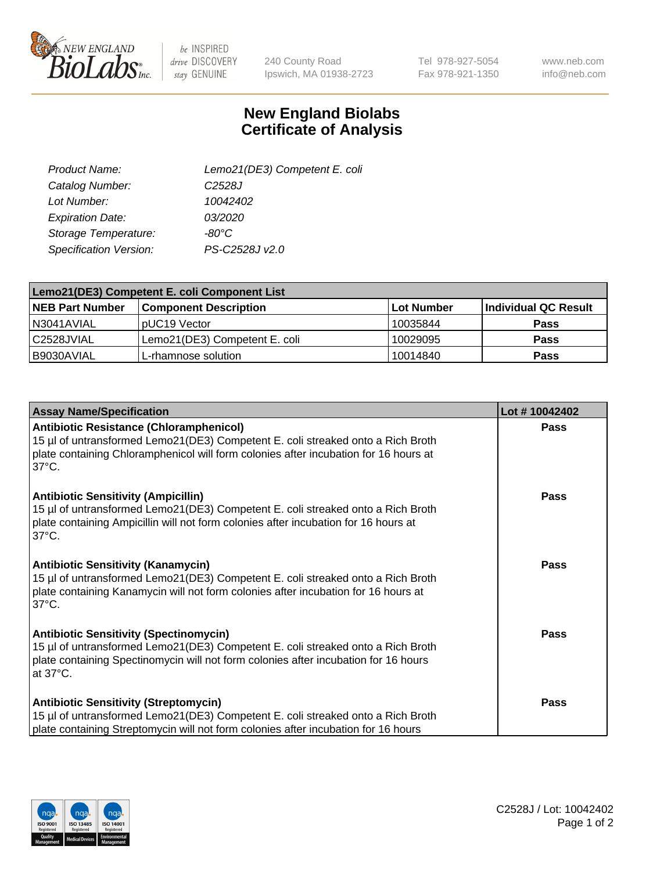

 $be$  INSPIRED drive DISCOVERY stay GENUINE

240 County Road Ipswich, MA 01938-2723 Tel 978-927-5054 Fax 978-921-1350

www.neb.com info@neb.com

## **New England Biolabs Certificate of Analysis**

| Lemo21(DE3) Competent E. coli |
|-------------------------------|
| C <sub>2528</sub> J           |
| 10042402                      |
| 03/2020                       |
| -80°C                         |
| PS-C2528J v2.0                |
|                               |

| Lemo21(DE3) Competent E. coli Component List |                               |                   |                      |  |
|----------------------------------------------|-------------------------------|-------------------|----------------------|--|
| <b>NEB Part Number</b>                       | <b>Component Description</b>  | <b>Lot Number</b> | Individual QC Result |  |
| I N3041AVIAL                                 | IpUC19 Vector                 | 10035844          | Pass                 |  |
| C2528JVIAL                                   | Lemo21(DE3) Competent E. coli | 10029095          | <b>Pass</b>          |  |
| B9030AVIAL                                   | L-rhamnose solution           | 10014840          | <b>Pass</b>          |  |

| <b>Assay Name/Specification</b>                                                                                                                                                                                                              | Lot #10042402 |
|----------------------------------------------------------------------------------------------------------------------------------------------------------------------------------------------------------------------------------------------|---------------|
| <b>Antibiotic Resistance (Chloramphenicol)</b><br>15 µl of untransformed Lemo21(DE3) Competent E. coli streaked onto a Rich Broth<br>plate containing Chloramphenicol will form colonies after incubation for 16 hours at<br>$37^{\circ}$ C. | Pass          |
| <b>Antibiotic Sensitivity (Ampicillin)</b><br>15 µl of untransformed Lemo21(DE3) Competent E. coli streaked onto a Rich Broth<br>plate containing Ampicillin will not form colonies after incubation for 16 hours at<br>$37^{\circ}$ C.      | Pass          |
| <b>Antibiotic Sensitivity (Kanamycin)</b><br>15 µl of untransformed Lemo21(DE3) Competent E. coli streaked onto a Rich Broth<br>plate containing Kanamycin will not form colonies after incubation for 16 hours at<br>$37^{\circ}$ C.        | Pass          |
| <b>Antibiotic Sensitivity (Spectinomycin)</b><br>15 µl of untransformed Lemo21(DE3) Competent E. coli streaked onto a Rich Broth<br>plate containing Spectinomycin will not form colonies after incubation for 16 hours<br>at 37°C.          | Pass          |
| <b>Antibiotic Sensitivity (Streptomycin)</b><br>15 µl of untransformed Lemo21(DE3) Competent E. coli streaked onto a Rich Broth<br>plate containing Streptomycin will not form colonies after incubation for 16 hours                        | Pass          |